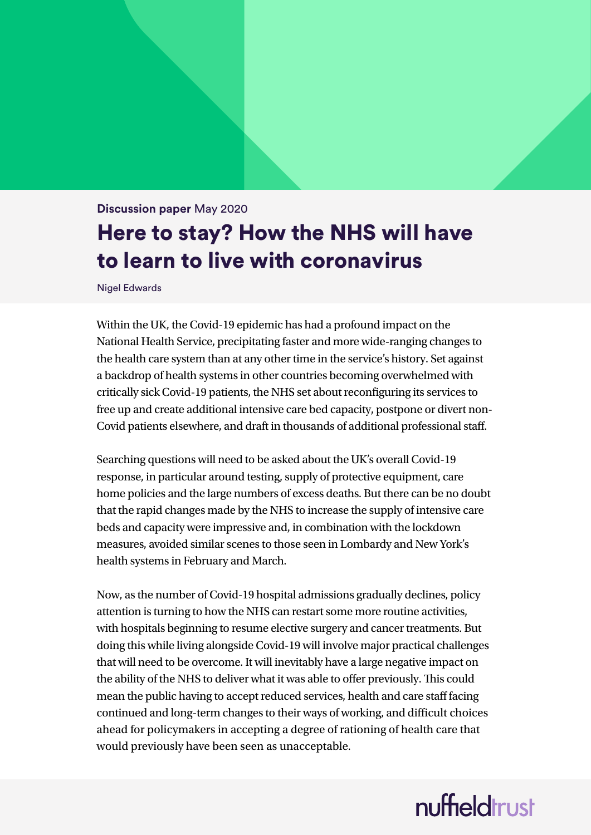#### **Discussion paper** May 2020

## Here to stay? How the NHS will have to learn to live with coronavirus

Nigel Edwards

Within the UK, the Covid-19 epidemic has had a profound impact on the National Health Service, precipitating faster and more wide-ranging changes to the health care system than at any other time in the service's history. Set against a backdrop of health systems in other countries becoming overwhelmed with critically sick Covid-19 patients, the NHS set about reconfiguring its services to free up and create additional intensive care bed capacity, postpone or divert non-Covid patients elsewhere, and draft in thousands of additional professional staff.

Searching questions will need to be asked about the UK's overall Covid-19 response, in particular around testing, supply of protective equipment, care home policies and the large numbers of excess deaths. But there can be no doubt that the rapid changes made by the NHS to increase the supply of intensive care beds and capacity were impressive and, in combination with the lockdown measures, avoided similar scenes to those seen in Lombardy and New York's health systems in February and March.

Now, as the number of Covid-19 hospital admissions gradually declines, policy attention is turning to how the NHS can restart some more routine activities, with hospitals beginning to resume elective surgery and cancer treatments. But doing this while living alongside Covid-19 will involve major practical challenges that will need to be overcome. It will inevitably have a large negative impact on the ability of the NHS to deliver what it was able to offer previously. This could mean the public having to accept reduced services, health and care staff facing continued and long-term changes to their ways of working, and difficult choices ahead for policymakers in accepting a degree of rationing of health care that would previously have been seen as unacceptable.

# nuffieldrust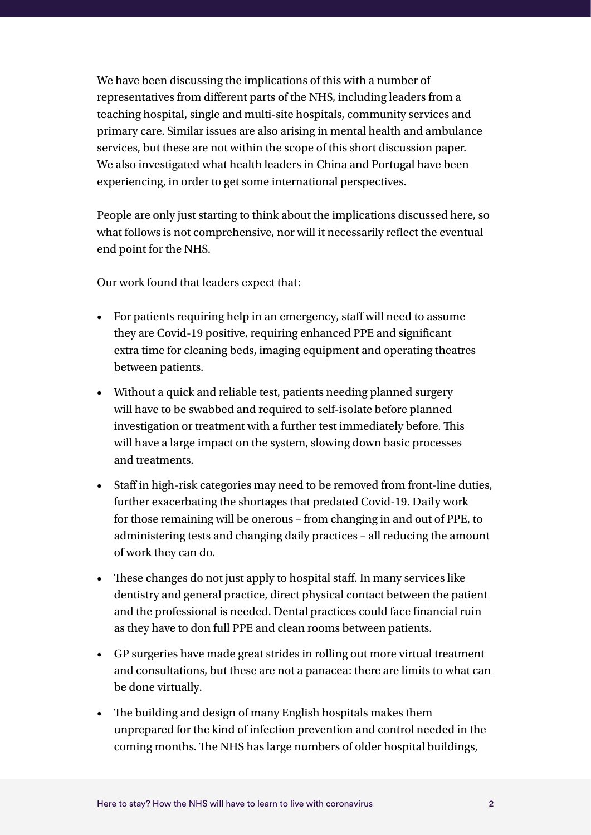We have been discussing the implications of this with a number of representatives from different parts of the NHS, including leaders from a teaching hospital, single and multi-site hospitals, community services and primary care. Similar issues are also arising in mental health and ambulance services, but these are not within the scope of this short discussion paper. We also investigated what health leaders in China and Portugal have been experiencing, in order to get some international perspectives.

People are only just starting to think about the implications discussed here, so what follows is not comprehensive, nor will it necessarily reflect the eventual end point for the NHS.

Our work found that leaders expect that:

- For patients requiring help in an emergency, staff will need to assume they are Covid-19 positive, requiring enhanced PPE and significant extra time for cleaning beds, imaging equipment and operating theatres between patients.
- Without a quick and reliable test, patients needing planned surgery will have to be swabbed and required to self-isolate before planned investigation or treatment with a further test immediately before. This will have a large impact on the system, slowing down basic processes and treatments.
- Staff in high-risk categories may need to be removed from front-line duties, further exacerbating the shortages that predated Covid-19. Daily work for those remaining will be onerous – from changing in and out of PPE, to administering tests and changing daily practices – all reducing the amount of work they can do.
- These changes do not just apply to hospital staff. In many services like dentistry and general practice, direct physical contact between the patient and the professional is needed. Dental practices could face financial ruin as they have to don full PPE and clean rooms between patients.
- GP surgeries have made great strides in rolling out more virtual treatment and consultations, but these are not a panacea: there are limits to what can be done virtually.
- The building and design of many English hospitals makes them unprepared for the kind of infection prevention and control needed in the coming months. The NHS has large numbers of older hospital buildings,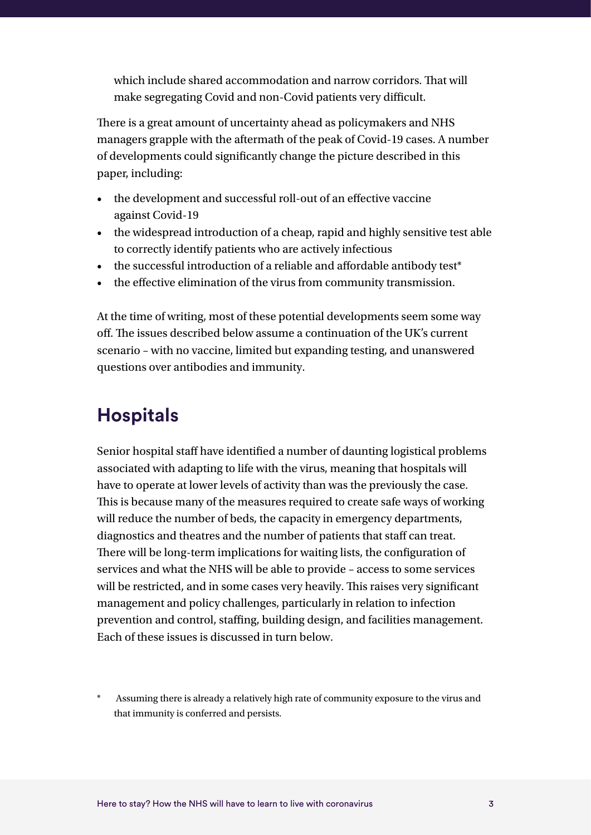which include shared accommodation and narrow corridors. That will make segregating Covid and non-Covid patients very difficult.

There is a great amount of uncertainty ahead as policymakers and NHS managers grapple with the aftermath of the peak of Covid-19 cases. A number of developments could significantly change the picture described in this paper, including:

- the development and successful roll-out of an effective vaccine against Covid-19
- the widespread introduction of a cheap, rapid and highly sensitive test able to correctly identify patients who are actively infectious
- the successful introduction of a reliable and affordable antibody test<sup>\*</sup>
- the effective elimination of the virus from community transmission.

At the time of writing, most of these potential developments seem some way off. The issues described below assume a continuation of the UK's current scenario – with no vaccine, limited but expanding testing, and unanswered questions over antibodies and immunity.

### **Hospitals**

Senior hospital staff have identified a number of daunting logistical problems associated with adapting to life with the virus, meaning that hospitals will have to operate at lower levels of activity than was the previously the case. This is because many of the measures required to create safe ways of working will reduce the number of beds, the capacity in emergency departments, diagnostics and theatres and the number of patients that staff can treat. There will be long-term implications for waiting lists, the configuration of services and what the NHS will be able to provide – access to some services will be restricted, and in some cases very heavily. This raises very significant management and policy challenges, particularly in relation to infection prevention and control, staffing, building design, and facilities management. Each of these issues is discussed in turn below.

Assuming there is already a relatively high rate of community exposure to the virus and that immunity is conferred and persists.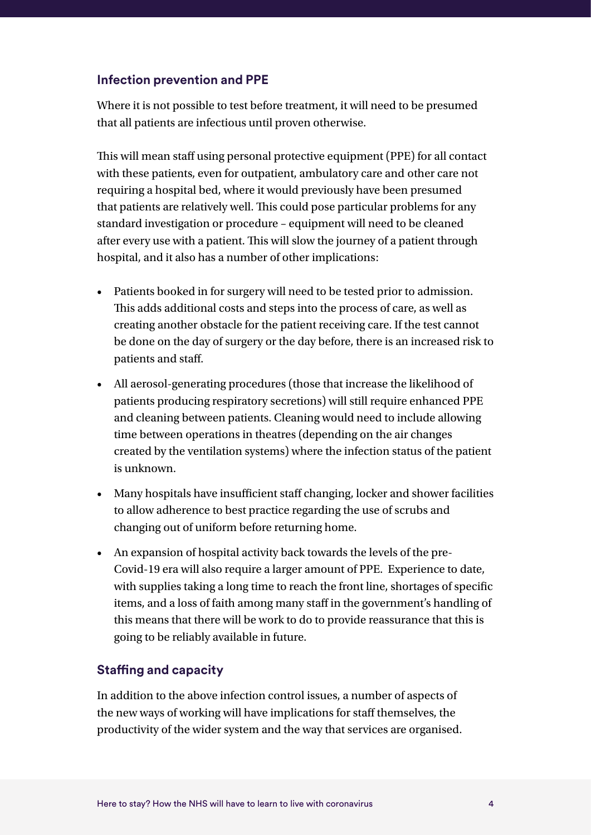#### **Infection prevention and PPE**

Where it is not possible to test before treatment, it will need to be presumed that all patients are infectious until proven otherwise.

This will mean staff using personal protective equipment (PPE) for all contact with these patients, even for outpatient, ambulatory care and other care not requiring a hospital bed, where it would previously have been presumed that patients are relatively well. This could pose particular problems for any standard investigation or procedure – equipment will need to be cleaned after every use with a patient. This will slow the journey of a patient through hospital, and it also has a number of other implications:

- Patients booked in for surgery will need to be tested prior to admission. This adds additional costs and steps into the process of care, as well as creating another obstacle for the patient receiving care. If the test cannot be done on the day of surgery or the day before, there is an increased risk to patients and staff.
- All aerosol-generating procedures (those that increase the likelihood of patients producing respiratory secretions) will still require enhanced PPE and cleaning between patients. Cleaning would need to include allowing time between operations in theatres (depending on the air changes created by the ventilation systems) where the infection status of the patient is unknown.
- Many hospitals have insufficient staff changing, locker and shower facilities to allow adherence to best practice regarding the use of scrubs and changing out of uniform before returning home.
- An expansion of hospital activity back towards the levels of the pre-Covid-19 era will also require a larger amount of PPE. Experience to date, with supplies taking a long time to reach the front line, shortages of specific items, and a loss of faith among many staff in the government's handling of this means that there will be work to do to provide reassurance that this is going to be reliably available in future.

#### **Staffing and capacity**

In addition to the above infection control issues, a number of aspects of the new ways of working will have implications for staff themselves, the productivity of the wider system and the way that services are organised.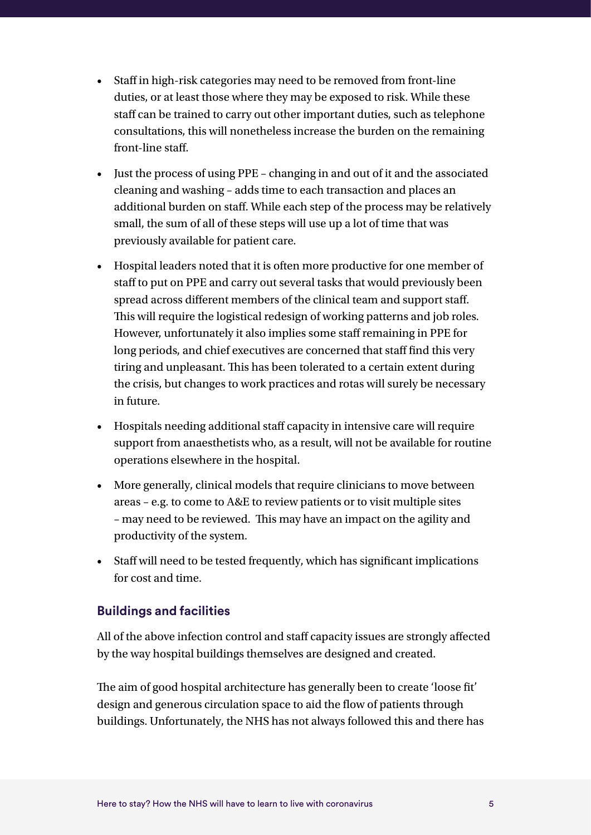- Staff in high-risk categories may need to be removed from front-line duties, or at least those where they may be exposed to risk. While these staff can be trained to carry out other important duties, such as telephone consultations, this will nonetheless increase the burden on the remaining front-line staff.
- Just the process of using PPE changing in and out of it and the associated cleaning and washing – adds time to each transaction and places an additional burden on staff. While each step of the process may be relatively small, the sum of all of these steps will use up a lot of time that was previously available for patient care.
- Hospital leaders noted that it is often more productive for one member of staff to put on PPE and carry out several tasks that would previously been spread across different members of the clinical team and support staff. This will require the logistical redesign of working patterns and job roles. However, unfortunately it also implies some staff remaining in PPE for long periods, and chief executives are concerned that staff find this very tiring and unpleasant. This has been tolerated to a certain extent during the crisis, but changes to work practices and rotas will surely be necessary in future.
- Hospitals needing additional staff capacity in intensive care will require support from anaesthetists who, as a result, will not be available for routine operations elsewhere in the hospital.
- More generally, clinical models that require clinicians to move between areas – e.g. to come to A&E to review patients or to visit multiple sites – may need to be reviewed. This may have an impact on the agility and productivity of the system.
- Staff will need to be tested frequently, which has significant implications for cost and time.

#### **Buildings and facilities**

All of the above infection control and staff capacity issues are strongly affected by the way hospital buildings themselves are designed and created.

The aim of good hospital architecture has generally been to create 'loose fit' design and generous circulation space to aid the flow of patients through buildings. Unfortunately, the NHS has not always followed this and there has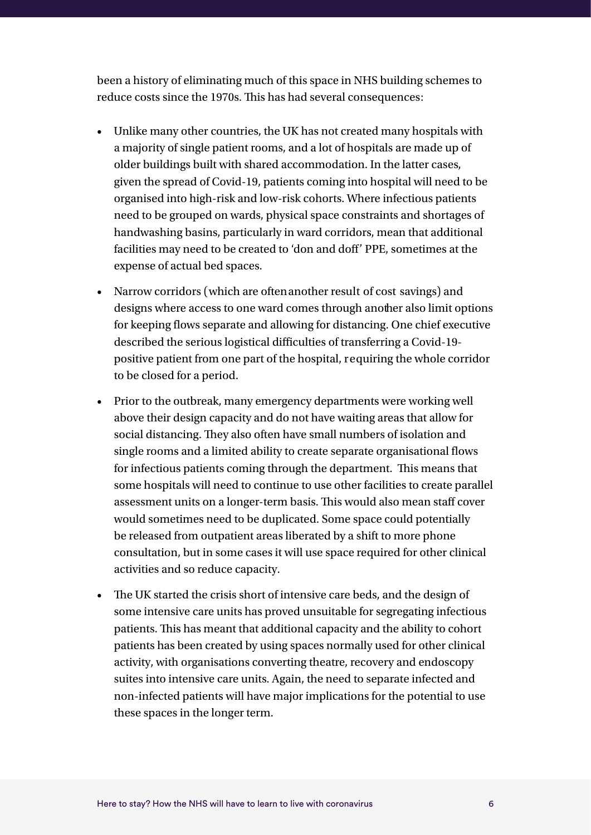been a history of eliminating much of this space in NHS building schemes to reduce costs since the 1970s. This has had several consequences:

- Unlike many other countries, the UK has not created many hospitals with a majority of single patient rooms, and a lot of hospitals are made up of older buildings built with shared accommodation. In the latter cases, given the spread of Covid-19, patients coming into hospital will need to be organised into high-risk and low-risk cohorts. Where infectious patients need to be grouped on wards, physical space constraints and shortages of handwashing basins, particularly in ward corridors, mean that additional facilities may need to be created to 'don and doff' PPE, sometimes at the expense of actual bed spaces.
- Narrow corridors (which are often another result of cost savings) and designs where access to one ward comes through another also limit options for keeping flows separate and allowing for distancing. One chief executive described the serious logistical difficulties of transferring a Covid-19 positive patient from one part of the hospital, requiring the whole corridor to be closed for a period.
- Prior to the outbreak, many emergency departments were working well above their design capacity and do not have waiting areas that allow for social distancing. They also often have small numbers of isolation and single rooms and a limited ability to create separate organisational flows for infectious patients coming through the department. This means that some hospitals will need to continue to use other facilities to create parallel assessment units on a longer-term basis. This would also mean staff cover would sometimes need to be duplicated. Some space could potentially be released from outpatient areas liberated by a shift to more phone consultation, but in some cases it will use space required for other clinical activities and so reduce capacity.
- The UK started the crisis short of intensive care beds, and the design of some intensive care units has proved unsuitable for segregating infectious patients. This has meant that additional capacity and the ability to cohort patients has been created by using spaces normally used for other clinical activity, with organisations converting theatre, recovery and endoscopy suites into intensive care units. Again, the need to separate infected and non-infected patients will have major implications for the potential to use these spaces in the longer term.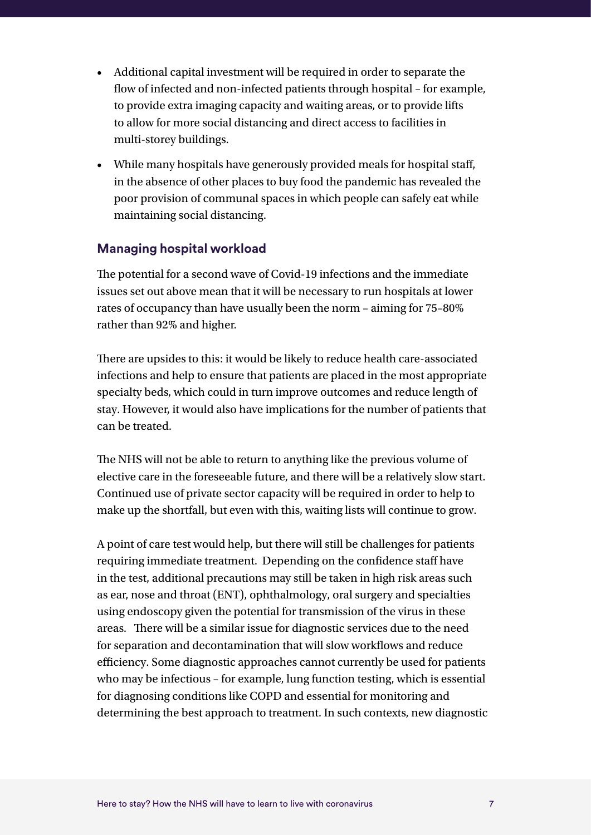- Additional capital investment will be required in order to separate the flow of infected and non-infected patients through hospital – for example, to provide extra imaging capacity and waiting areas, or to provide lifts to allow for more social distancing and direct access to facilities in multi-storey buildings.
- While many hospitals have generously provided meals for hospital staff, in the absence of other places to buy food the pandemic has revealed the poor provision of communal spaces in which people can safely eat while maintaining social distancing.

#### **Managing hospital workload**

The potential for a second wave of Covid-19 infections and the immediate issues set out above mean that it will be necessary to run hospitals at lower rates of occupancy than have usually been the norm – aiming for 75–80% rather than 92% and higher.

There are upsides to this: it would be likely to reduce health care-associated infections and help to ensure that patients are placed in the most appropriate specialty beds, which could in turn improve outcomes and reduce length of stay. However, it would also have implications for the number of patients that can be treated.

The NHS will not be able to return to anything like the previous volume of elective care in the foreseeable future, and there will be a relatively slow start. Continued use of private sector capacity will be required in order to help to make up the shortfall, but even with this, waiting lists will continue to grow.

A point of care test would help, but there will still be challenges for patients requiring immediate treatment. Depending on the confidence staff have in the test, additional precautions may still be taken in high risk areas such as ear, nose and throat (ENT), ophthalmology, oral surgery and specialties using endoscopy given the potential for transmission of the virus in these areas. There will be a similar issue for diagnostic services due to the need for separation and decontamination that will slow workflows and reduce efficiency. Some diagnostic approaches cannot currently be used for patients who may be infectious – for example, lung function testing, which is essential for diagnosing conditions like COPD and essential for monitoring and determining the best approach to treatment. In such contexts, new diagnostic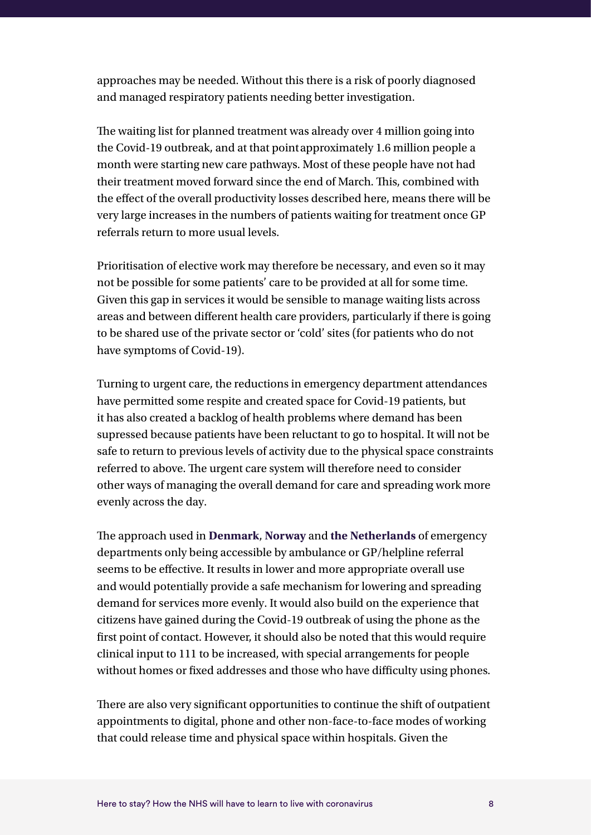approaches may be needed. Without this there is a risk of poorly diagnosed and managed respiratory patients needing better investigation.

The waiting list for planned treatment was already over 4 million going into the Covid-19 outbreak, and at that point approximately 1.6 million people a month were starting new care pathways. Most of these people have not had their treatment moved forward since the end of March. This, combined with the effect of the overall productivity losses described here, means there will be very large increases in the numbers of patients waiting for treatment once GP referrals return to more usual levels.

Prioritisation of elective work may therefore be necessary, and even so it may not be possible for some patients' care to be provided at all for some time. Given this gap in services it would be sensible to manage waiting lists across areas and between different health care providers, particularly if there is going to be shared use of the private sector or 'cold' sites (for patients who do not have symptoms of Covid-19).

Turning to urgent care, the reductions in emergency department attendances have permitted some respite and created space for Covid-19 patients, but it has also created a backlog of health problems where demand has been supressed because patients have been reluctant to go to hospital. It will not be safe to return to previous levels of activity due to the physical space constraints referred to above. The urgent care system will therefore need to consider other ways of managing the overall demand for care and spreading work more evenly across the day.

The approach used in **[Denmark](https://sjtrem.biomedcentral.com/articles/10.1186/s13049-019-0676-5)**, **[Norway](https://www.hspm.org/countries/norway08012014/livinghit.aspx?Section=5.5 Emergency care&Type=Section)** and **[the Netherlands](https://assets.publishing.service.gov.uk/government/uploads/system/uploads/attachment_data/file/383021/ExploringInternationalAcutes.pdf)** of emergency departments only being accessible by ambulance or GP/helpline referral seems to be effective. It results in lower and more appropriate overall use and would potentially provide a safe mechanism for lowering and spreading demand for services more evenly. It would also build on the experience that citizens have gained during the Covid-19 outbreak of using the phone as the first point of contact. However, it should also be noted that this would require clinical input to 111 to be increased, with special arrangements for people without homes or fixed addresses and those who have difficulty using phones.

There are also very significant opportunities to continue the shift of outpatient appointments to digital, phone and other non-face-to-face modes of working that could release time and physical space within hospitals. Given the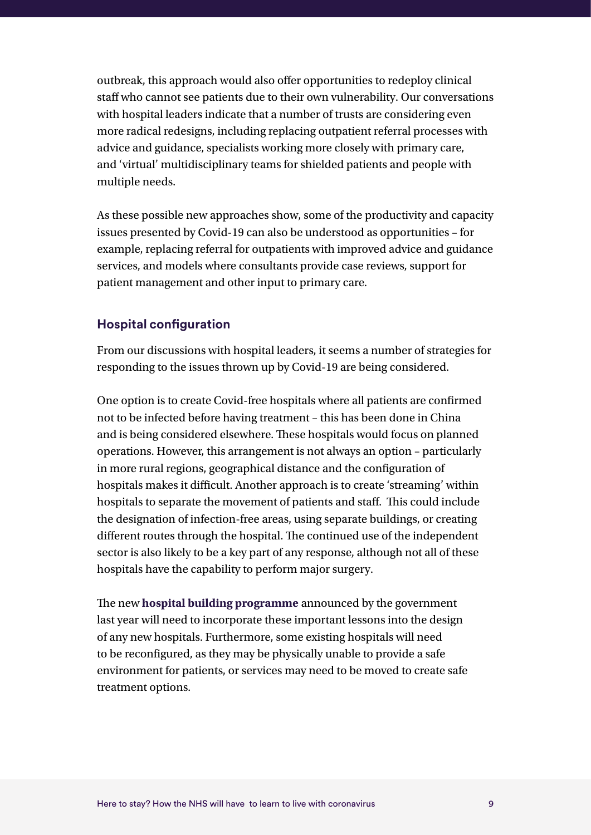outbreak, this approach would also offer opportunities to redeploy clinical staff who cannot see patients due to their own vulnerability. Our conversations with hospital leaders indicate that a number of trusts are considering even more radical redesigns, including replacing outpatient referral processes with advice and guidance, specialists working more closely with primary care, and 'virtual' multidisciplinary teams for shielded patients and people with multiple needs.

As these possible new approaches show, some of the productivity and capacity issues presented by Covid-19 can also be understood as opportunities – for example, replacing referral for outpatients with improved advice and guidance services, and models where consultants provide case reviews, support for patient management and other input to primary care.

#### **Hospital configuration**

From our discussions with hospital leaders, it seems a number of strategies for responding to the issues thrown up by Covid-19 are being considered.

One option is to create Covid-free hospitals where all patients are confirmed not to be infected before having treatment – this has been done in China and is being considered elsewhere. These hospitals would focus on planned operations. However, this arrangement is not always an option – particularly in more rural regions, geographical distance and the configuration of hospitals makes it difficult. Another approach is to create 'streaming' within hospitals to separate the movement of patients and staff. This could include the designation of infection-free areas, using separate buildings, or creating different routes through the hospital. The continued use of the independent sector is also likely to be a key part of any response, although not all of these hospitals have the capability to perform major surgery.

The new **[hospital building programme](https://www.gov.uk/government/news/new-hospital-building-programme-announced)** announced by the government last year will need to incorporate these important lessons into the design of any new hospitals. Furthermore, some existing hospitals will need to be reconfigured, as they may be physically unable to provide a safe environment for patients, or services may need to be moved to create safe treatment options.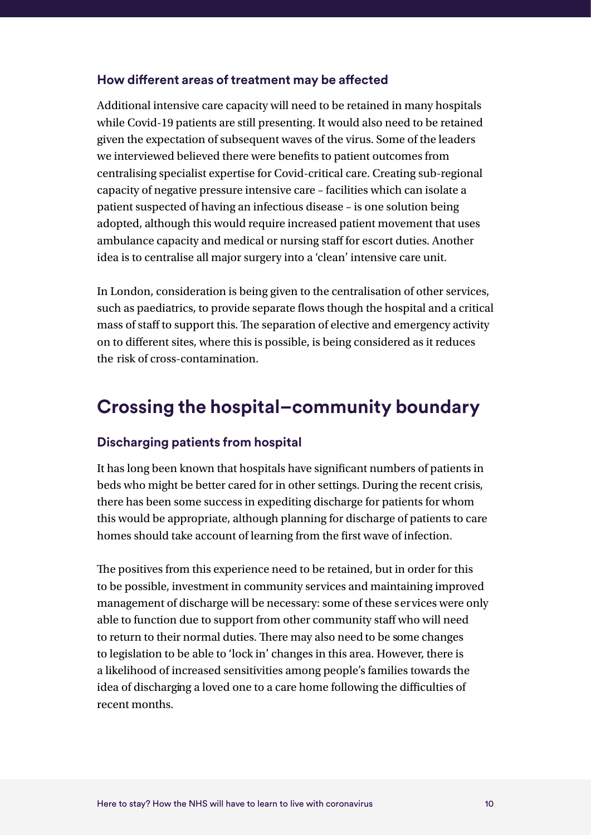#### **How different areas of treatment may be affected**

Additional intensive care capacity will need to be retained in many hospitals while Covid-19 patients are still presenting. It would also need to be retained given the expectation of subsequent waves of the virus. Some of the leaders we interviewed believed there were benefits to patient outcomes from centralising specialist expertise for Covid-critical care. Creating sub-regional capacity of negative pressure intensive care – facilities which can isolate a patient suspected of having an infectious disease – is one solution being adopted, although this would require increased patient movement that uses ambulance capacity and medical or nursing staff for escort duties. Another idea is to centralise all major surgery into a 'clean' intensive care unit.

In London, consideration is being given to the centralisation of other services, such as paediatrics, to provide separate flows though the hospital and a critical mass of staff to support this. The separation of elective and emergency activity on to different sites, where this is possible, is being considered as it reduces the risk of cross-contamination.

### **Crossing the hospital–community boundary**

#### **Discharging patients from hospital**

It has long been known that hospitals have significant numbers of patients in beds who might be better cared for in other settings. During the recent crisis, there has been some success in expediting discharge for patients for whom this would be appropriate, although planning for discharge of patients to care homes should take account of learning from the first wave of infection.

The positives from this experience need to be retained, but in order for this to be possible, investment in community services and maintaining improved management of discharge will be necessary: some of these services were only able to function due to support from other community staff who will need to return to their normal duties. There may also need to be some changes to legislation to be able to 'lock in' changes in this area. However, there is a likelihood of increased sensitivities among people's families towards the idea of discharging a loved one to a care home following the difficulties of recent months.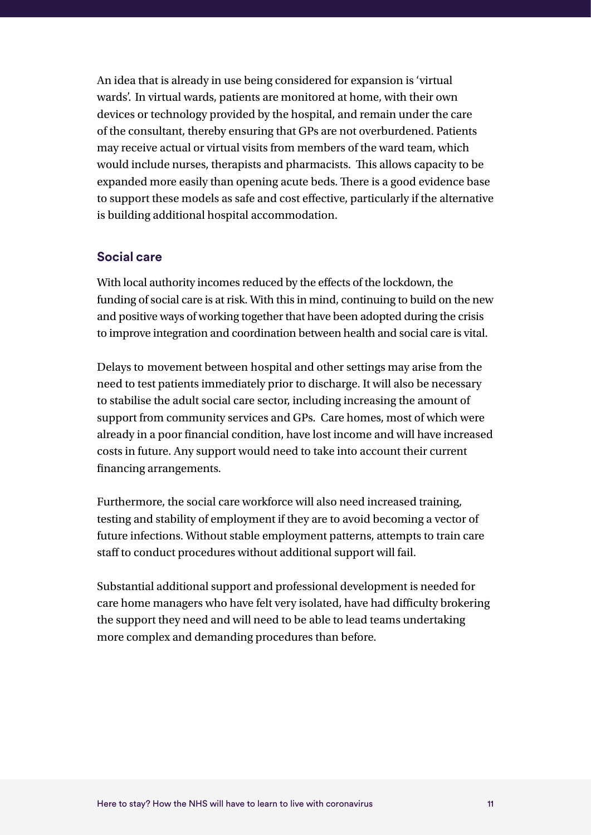An idea that is already in use being considered for expansion is 'virtual wards'. In virtual wards, patients are monitored at home, with their own devices or technology provided by the hospital, and remain under the care of the consultant, thereby ensuring that GPs are not overburdened. Patients may receive actual or virtual visits from members of the ward team, which would include nurses, therapists and pharmacists. This allows capacity to be expanded more easily than opening acute beds. There is a good evidence base to support these models as safe and cost effective, particularly if the alternative is building additional hospital accommodation.

#### **Social care**

With local authority incomes reduced by the effects of the lockdown, the funding of social care is at risk. With this in mind, continuing to build on the new and positive ways of working together that have been adopted during the crisis to improve integration and coordination between health and social care is vital.

Delays to movement between hospital and other settings may arise from the need to test patients immediately prior to discharge. It will also be necessary to stabilise the adult social care sector, including increasing the amount of support from community services and GPs. Care homes, most of which were already in a poor financial condition, have lost income and will have increased costs in future. Any support would need to take into account their current financing arrangements.

Furthermore, the social care workforce will also need increased training, testing and stability of employment if they are to avoid becoming a vector of future infections. Without stable employment patterns, attempts to train care staff to conduct procedures without additional support will fail.

Substantial additional support and professional development is needed for care home managers who have felt very isolated, have had difficulty brokering the support they need and will need to be able to lead teams undertaking more complex and demanding procedures than before.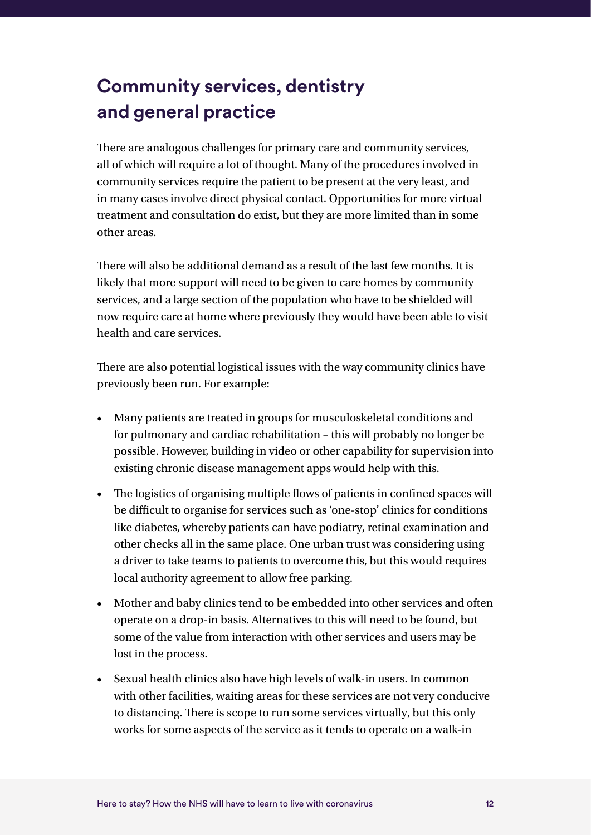## **Community services, dentistry and general practice**

There are analogous challenges for primary care and community services, all of which will require a lot of thought. Many of the procedures involved in community services require the patient to be present at the very least, and in many cases involve direct physical contact. Opportunities for more virtual treatment and consultation do exist, but they are more limited than in some other areas.

There will also be additional demand as a result of the last few months. It is likely that more support will need to be given to care homes by community services, and a large section of the population who have to be shielded will now require care at home where previously they would have been able to visit health and care services.

There are also potential logistical issues with the way community clinics have previously been run. For example:

- Many patients are treated in groups for musculoskeletal conditions and for pulmonary and cardiac rehabilitation – this will probably no longer be possible. However, building in video or other capability for supervision into existing chronic disease management apps would help with this.
- The logistics of organising multiple flows of patients in confined spaces will be difficult to organise for services such as 'one-stop' clinics for conditions like diabetes, whereby patients can have podiatry, retinal examination and other checks all in the same place. One urban trust was considering using a driver to take teams to patients to overcome this, but this would requires local authority agreement to allow free parking.
- Mother and baby clinics tend to be embedded into other services and often operate on a drop-in basis. Alternatives to this will need to be found, but some of the value from interaction with other services and users may be lost in the process.
- Sexual health clinics also have high levels of walk-in users. In common with other facilities, waiting areas for these services are not very conducive to distancing. There is scope to run some services virtually, but this only works for some aspects of the service as it tends to operate on a walk-in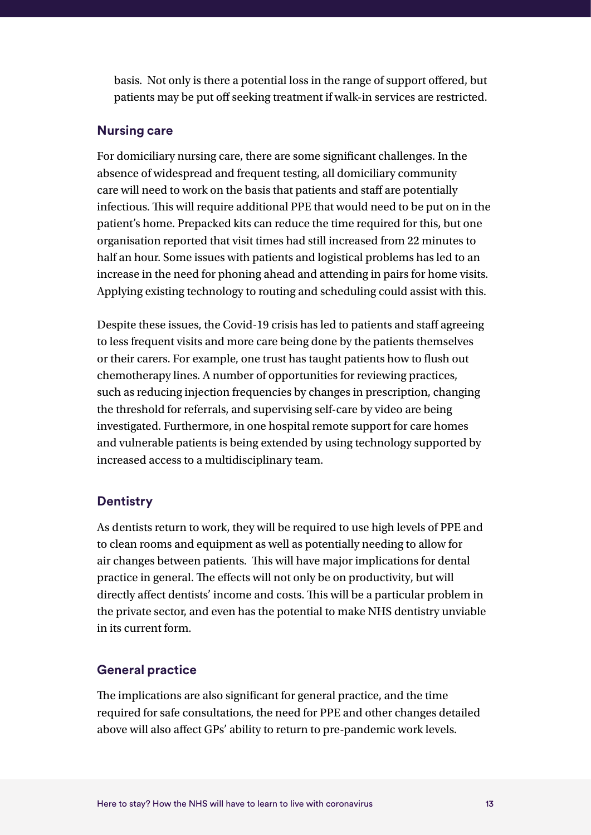basis. Not only is there a potential loss in the range of support offered, but patients may be put off seeking treatment if walk-in services are restricted.

#### **Nursing care**

For domiciliary nursing care, there are some significant challenges. In the absence of widespread and frequent testing, all domiciliary community care will need to work on the basis that patients and staff are potentially infectious. This will require additional PPE that would need to be put on in the patient's home. Prepacked kits can reduce the time required for this, but one organisation reported that visit times had still increased from 22 minutes to half an hour. Some issues with patients and logistical problems has led to an increase in the need for phoning ahead and attending in pairs for home visits. Applying existing technology to routing and scheduling could assist with this.

Despite these issues, the Covid-19 crisis has led to patients and staff agreeing to less frequent visits and more care being done by the patients themselves or their carers. For example, one trust has taught patients how to flush out chemotherapy lines. A number of opportunities for reviewing practices, such as reducing injection frequencies by changes in prescription, changing the threshold for referrals, and supervising self-care by video are being investigated. Furthermore, in one hospital remote support for care homes and vulnerable patients is being extended by using technology supported by increased access to a multidisciplinary team.

#### **Dentistry**

As dentists return to work, they will be required to use high levels of PPE and to clean rooms and equipment as well as potentially needing to allow for air changes between patients. This will have major implications for dental practice in general. The effects will not only be on productivity, but will directly affect dentists' income and costs. This will be a particular problem in the private sector, and even has the potential to make NHS dentistry unviable in its current form.

#### **General practice**

The implications are also significant for general practice, and the time required for safe consultations, the need for PPE and other changes detailed above will also affect GPs' ability to return to pre-pandemic work levels.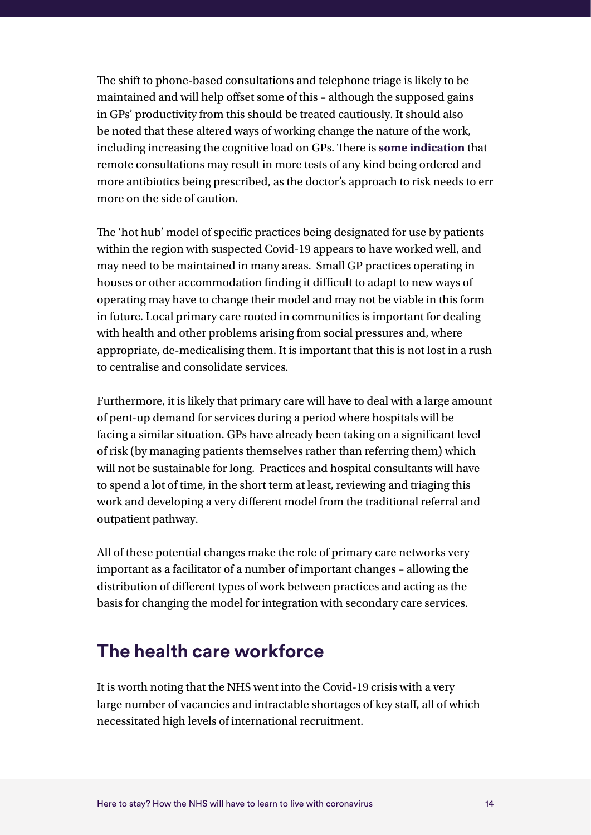The shift to phone-based consultations and telephone triage is likely to be maintained and will help offset some of this – although the supposed gains in GPs' productivity from this should be treated cautiously. It should also be noted that these altered ways of working change the nature of the work, including increasing the cognitive load on GPs. There is **[some indication](https://www.nuffieldtrust.org.uk/news-item/a-digital-general-practice-what-have-we-found-out-so-far)** that remote consultations may result in more tests of any kind being ordered and more antibiotics being prescribed, as the doctor's approach to risk needs to err more on the side of caution.

The 'hot hub' model of specific practices being designated for use by patients within the region with suspected Covid-19 appears to have worked well, and may need to be maintained in many areas. Small GP practices operating in houses or other accommodation finding it difficult to adapt to new ways of operating may have to change their model and may not be viable in this form in future. Local primary care rooted in communities is important for dealing with health and other problems arising from social pressures and, where appropriate, de-medicalising them. It is important that this is not lost in a rush to centralise and consolidate services.

Furthermore, it is likely that primary care will have to deal with a large amount of pent-up demand for services during a period where hospitals will be facing a similar situation. GPs have already been taking on a significant level of risk (by managing patients themselves rather than referring them) which will not be sustainable for long. Practices and hospital consultants will have to spend a lot of time, in the short term at least, reviewing and triaging this work and developing a very different model from the traditional referral and outpatient pathway.

All of these potential changes make the role of primary care networks very important as a facilitator of a number of important changes – allowing the distribution of different types of work between practices and acting as the basis for changing the model for integration with secondary care services.

### **The health care workforce**

It is worth noting that the NHS went into the Covid-19 crisis with a very large number of vacancies and intractable shortages of key staff, all of which necessitated high levels of international recruitment.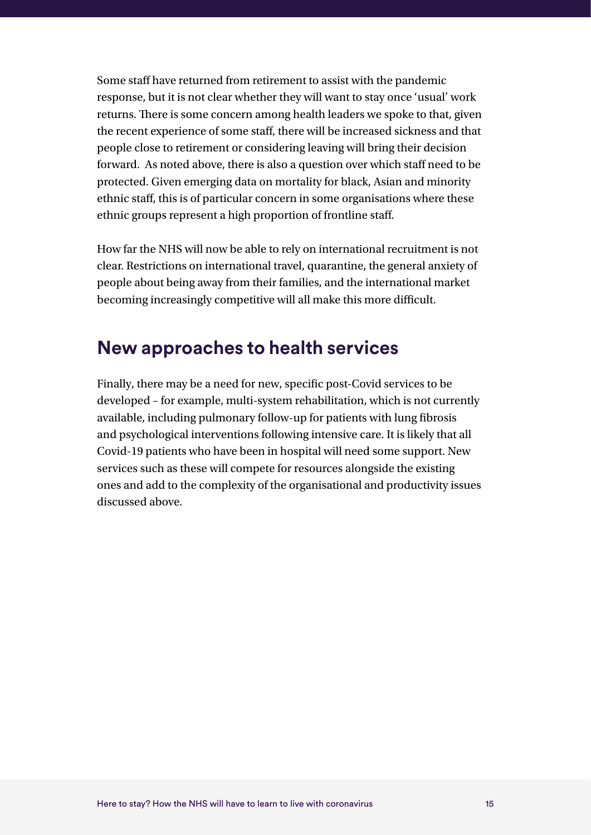Some staff have returned from retirement to assist with the pandemic response, but it is not clear whether they will want to stay once 'usual' work returns. There is some concern among health leaders we spoke to that, given the recent experience of some staff, there will be increased sickness and that people close to retirement or considering leaving will bring their decision forward. As noted above, there is also a question over which staff need to be protected. Given emerging data on mortality for black, Asian and minority ethnic staff, this is of particular concern in some organisations where these ethnic groups represent a high proportion of frontline staff.

How far the NHS will now be able to rely on international recruitment is not clear. Restrictions on international travel, quarantine, the general anxiety of people about being away from their families, and the international market becoming increasingly competitive will all make this more difficult.

### **New approaches to health services**

Finally, there may be a need for new, specific post-Covid services to be developed – for example, multi-system rehabilitation, which is not currently available, including pulmonary follow-up for patients with lung fibrosis and psychological interventions following intensive care. It is likely that all Covid-19 patients who have been in hospital will need some support. New services such as these will compete for resources alongside the existing ones and add to the complexity of the organisational and productivity issues discussed above.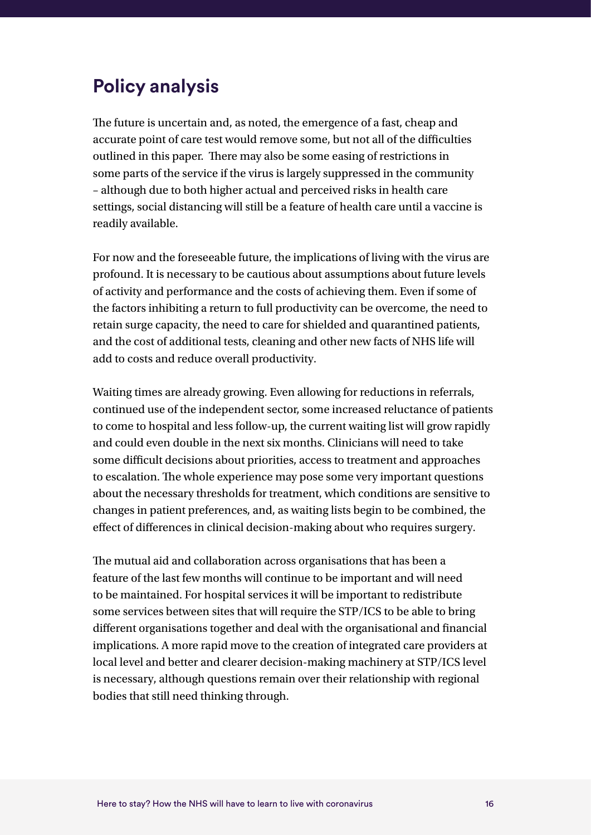### **Policy analysis**

The future is uncertain and, as noted, the emergence of a fast, cheap and accurate point of care test would remove some, but not all of the difficulties outlined in this paper. There may also be some easing of restrictions in some parts of the service if the virus is largely suppressed in the community – although due to both higher actual and perceived risks in health care settings, social distancing will still be a feature of health care until a vaccine is readily available.

For now and the foreseeable future, the implications of living with the virus are profound. It is necessary to be cautious about assumptions about future levels of activity and performance and the costs of achieving them. Even if some of the factors inhibiting a return to full productivity can be overcome, the need to retain surge capacity, the need to care for shielded and quarantined patients, and the cost of additional tests, cleaning and other new facts of NHS life will add to costs and reduce overall productivity.

Waiting times are already growing. Even allowing for reductions in referrals, continued use of the independent sector, some increased reluctance of patients to come to hospital and less follow-up, the current waiting list will grow rapidly and could even double in the next six months. Clinicians will need to take some difficult decisions about priorities, access to treatment and approaches to escalation. The whole experience may pose some very important questions about the necessary thresholds for treatment, which conditions are sensitive to changes in patient preferences, and, as waiting lists begin to be combined, the effect of differences in clinical decision-making about who requires surgery.

The mutual aid and collaboration across organisations that has been a feature of the last few months will continue to be important and will need to be maintained. For hospital services it will be important to redistribute some services between sites that will require the STP/ICS to be able to bring different organisations together and deal with the organisational and financial implications. A more rapid move to the creation of integrated care providers at local level and better and clearer decision-making machinery at STP/ICS level is necessary, although questions remain over their relationship with regional bodies that still need thinking through.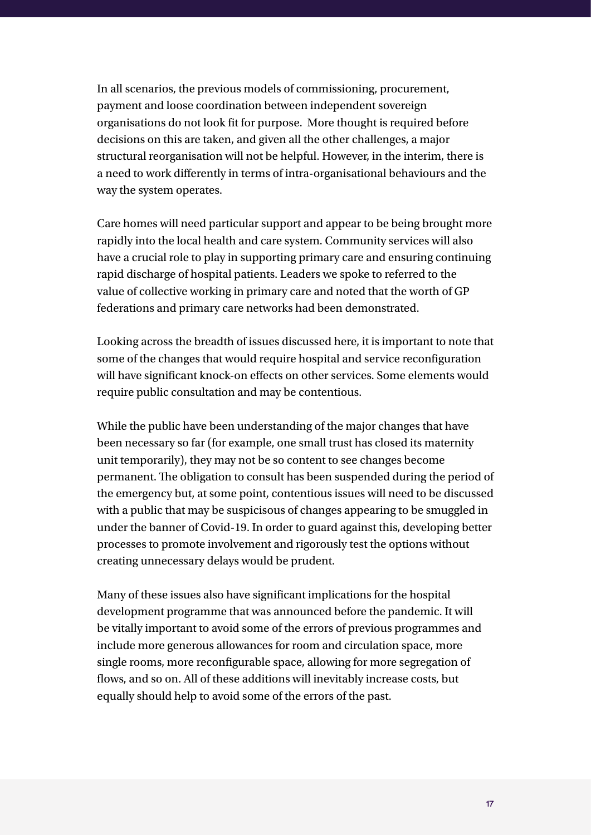In all scenarios, the previous models of commissioning, procurement, payment and loose coordination between independent sovereign organisations do not look fit for purpose. More thought is required before decisions on this are taken, and given all the other challenges, a major structural reorganisation will not be helpful. However, in the interim, there is a need to work differently in terms of intra-organisational behaviours and the way the system operates.

Care homes will need particular support and appear to be being brought more rapidly into the local health and care system. Community services will also have a crucial role to play in supporting primary care and ensuring continuing rapid discharge of hospital patients. Leaders we spoke to referred to the value of collective working in primary care and noted that the worth of GP federations and primary care networks had been demonstrated.

Looking across the breadth of issues discussed here, it is important to note that some of the changes that would require hospital and service reconfiguration will have significant knock-on effects on other services. Some elements would require public consultation and may be contentious.

While the public have been understanding of the major changes that have been necessary so far (for example, one small trust has closed its maternity unit temporarily), they may not be so content to see changes become permanent. The obligation to consult has been suspended during the period of the emergency but, at some point, contentious issues will need to be discussed with a public that may be suspicisous of changes appearing to be smuggled in under the banner of Covid-19. In order to guard against this, developing better processes to promote involvement and rigorously test the options without creating unnecessary delays would be prudent.

Many of these issues also have significant implications for the hospital development programme that was announced before the pandemic. It will be vitally important to avoid some of the errors of previous programmes and include more generous allowances for room and circulation space, more single rooms, more reconfigurable space, allowing for more segregation of flows, and so on. All of these additions will inevitably increase costs, but equally should help to avoid some of the errors of the past.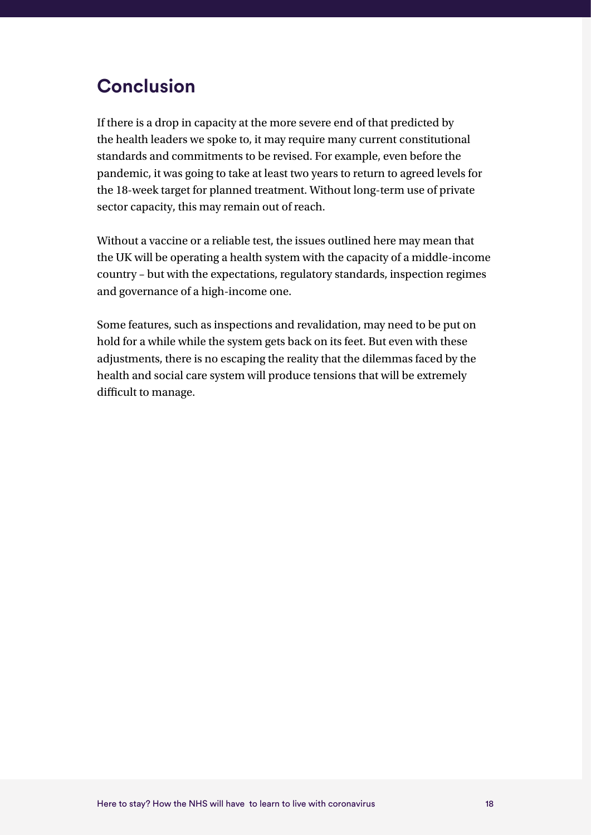### **Conclusion**

If there is a drop in capacity at the more severe end of that predicted by the health leaders we spoke to, it may require many current constitutional standards and commitments to be revised. For example, even before the pandemic, it was going to take at least two years to return to agreed levels for the 18-week target for planned treatment. Without long-term use of private sector capacity, this may remain out of reach.

Without a vaccine or a reliable test, the issues outlined here may mean that the UK will be operating a health system with the capacity of a middle-income country – but with the expectations, regulatory standards, inspection regimes and governance of a high-income one.

Some features, such as inspections and revalidation, may need to be put on hold for a while while the system gets back on its feet. But even with these adjustments, there is no escaping the reality that the dilemmas faced by the health and social care system will produce tensions that will be extremely difficult to manage.